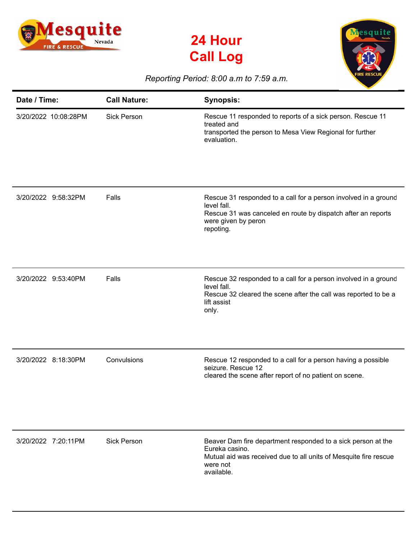





## *Reporting Period: 8:00 a.m to 7:59 a.m.*

| Date / Time:         | <b>Call Nature:</b> | <b>Synopsis:</b>                                                                                                                                                                   |
|----------------------|---------------------|------------------------------------------------------------------------------------------------------------------------------------------------------------------------------------|
| 3/20/2022 10:08:28PM | <b>Sick Person</b>  | Rescue 11 responded to reports of a sick person. Rescue 11<br>treated and<br>transported the person to Mesa View Regional for further<br>evaluation.                               |
| 3/20/2022 9:58:32PM  | Falls               | Rescue 31 responded to a call for a person involved in a ground<br>level fall.<br>Rescue 31 was canceled en route by dispatch after an reports<br>were given by peron<br>repoting. |
| 3/20/2022 9:53:40PM  | Falls               | Rescue 32 responded to a call for a person involved in a ground<br>level fall.<br>Rescue 32 cleared the scene after the call was reported to be a<br>lift assist<br>only.          |
| 3/20/2022 8:18:30PM  | Convulsions         | Rescue 12 responded to a call for a person having a possible<br>seizure. Rescue 12<br>cleared the scene after report of no patient on scene.                                       |
| 3/20/2022 7:20:11PM  | <b>Sick Person</b>  | Beaver Dam fire department responded to a sick person at the<br>Eureka casino.<br>Mutual aid was received due to all units of Mesquite fire rescue<br>were not<br>available.       |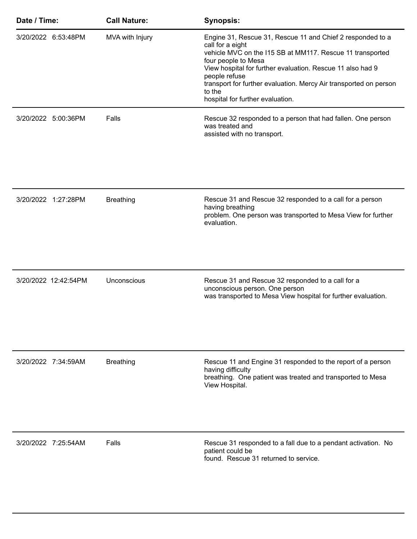| Date / Time:         | <b>Call Nature:</b> | <b>Synopsis:</b>                                                                                                                                                                                                                                                                                                                                                     |
|----------------------|---------------------|----------------------------------------------------------------------------------------------------------------------------------------------------------------------------------------------------------------------------------------------------------------------------------------------------------------------------------------------------------------------|
| 3/20/2022 6:53:48PM  | MVA with Injury     | Engine 31, Rescue 31, Rescue 11 and Chief 2 responded to a<br>call for a eight<br>vehicle MVC on the I15 SB at MM117. Rescue 11 transported<br>four people to Mesa<br>View hospital for further evaluation. Rescue 11 also had 9<br>people refuse<br>transport for further evaluation. Mercy Air transported on person<br>to the<br>hospital for further evaluation. |
| 3/20/2022 5:00:36PM  | Falls               | Rescue 32 responded to a person that had fallen. One person<br>was treated and<br>assisted with no transport.                                                                                                                                                                                                                                                        |
| 3/20/2022 1:27:28PM  | <b>Breathing</b>    | Rescue 31 and Rescue 32 responded to a call for a person<br>having breathing<br>problem. One person was transported to Mesa View for further<br>evaluation.                                                                                                                                                                                                          |
| 3/20/2022 12:42:54PM | Unconscious         | Rescue 31 and Rescue 32 responded to a call for a<br>unconscious person. One person<br>was transported to Mesa View hospital for further evaluation.                                                                                                                                                                                                                 |
| 3/20/2022 7:34:59AM  | <b>Breathing</b>    | Rescue 11 and Engine 31 responded to the report of a person<br>having difficulty<br>breathing. One patient was treated and transported to Mesa<br>View Hospital.                                                                                                                                                                                                     |
| 3/20/2022 7:25:54AM  | Falls               | Rescue 31 responded to a fall due to a pendant activation. No<br>patient could be<br>found. Rescue 31 returned to service.                                                                                                                                                                                                                                           |